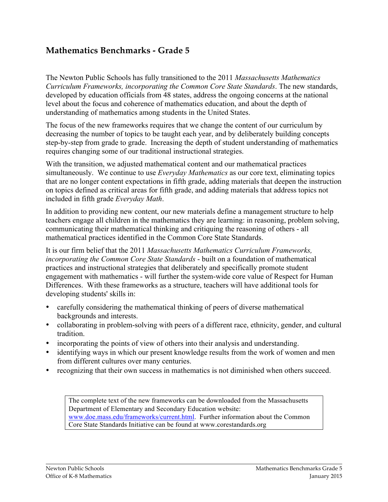# **Mathematics Benchmarks - Grade 5**

The Newton Public Schools has fully transitioned to the 2011 *Massachusetts Mathematics Curriculum Frameworks, incorporating the Common Core State Standards*. The new standards, developed by education officials from 48 states, address the ongoing concerns at the national level about the focus and coherence of mathematics education, and about the depth of understanding of mathematics among students in the United States.

The focus of the new frameworks requires that we change the content of our curriculum by decreasing the number of topics to be taught each year, and by deliberately building concepts step-by-step from grade to grade. Increasing the depth of student understanding of mathematics requires changing some of our traditional instructional strategies.

With the transition, we adjusted mathematical content and our mathematical practices simultaneously. We continue to use *Everyday Mathematics* as our core text, eliminating topics that are no longer content expectations in fifth grade, adding materials that deepen the instruction on topics defined as critical areas for fifth grade, and adding materials that address topics not included in fifth grade *Everyday Math*.

In addition to providing new content, our new materials define a management structure to help teachers engage all children in the mathematics they are learning: in reasoning, problem solving, communicating their mathematical thinking and critiquing the reasoning of others - all mathematical practices identified in the Common Core State Standards.

It is our firm belief that the 2011 *Massachusetts Mathematics Curriculum Frameworks, incorporating the Common Core State Standards* - built on a foundation of mathematical practices and instructional strategies that deliberately and specifically promote student engagement with mathematics - will further the system-wide core value of Respect for Human Differences. With these frameworks as a structure, teachers will have additional tools for developing students' skills in:

- carefully considering the mathematical thinking of peers of diverse mathematical backgrounds and interests.
- collaborating in problem-solving with peers of a different race, ethnicity, gender, and cultural tradition.
- incorporating the points of view of others into their analysis and understanding.
- identifying ways in which our present knowledge results from the work of women and men from different cultures over many centuries.
- recognizing that their own success in mathematics is not diminished when others succeed.

The complete text of the new frameworks can be downloaded from the Massachusetts Department of Elementary and Secondary Education website: www.doe.mass.edu/frameworks/current.html. Further information about the Common Core State Standards Initiative can be found at www.corestandards.org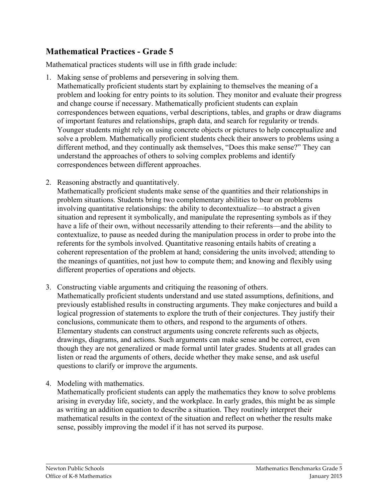# **Mathematical Practices - Grade 5**

Mathematical practices students will use in fifth grade include:

1. Making sense of problems and persevering in solving them.

Mathematically proficient students start by explaining to themselves the meaning of a problem and looking for entry points to its solution. They monitor and evaluate their progress and change course if necessary. Mathematically proficient students can explain correspondences between equations, verbal descriptions, tables, and graphs or draw diagrams of important features and relationships, graph data, and search for regularity or trends. Younger students might rely on using concrete objects or pictures to help conceptualize and solve a problem. Mathematically proficient students check their answers to problems using a different method, and they continually ask themselves, "Does this make sense?" They can understand the approaches of others to solving complex problems and identify correspondences between different approaches.

2. Reasoning abstractly and quantitatively.

Mathematically proficient students make sense of the quantities and their relationships in problem situations. Students bring two complementary abilities to bear on problems involving quantitative relationships: the ability to decontextualize—to abstract a given situation and represent it symbolically, and manipulate the representing symbols as if they have a life of their own, without necessarily attending to their referents—and the ability to contextualize, to pause as needed during the manipulation process in order to probe into the referents for the symbols involved. Quantitative reasoning entails habits of creating a coherent representation of the problem at hand; considering the units involved; attending to the meanings of quantities, not just how to compute them; and knowing and flexibly using different properties of operations and objects.

- 3. Constructing viable arguments and critiquing the reasoning of others. Mathematically proficient students understand and use stated assumptions, definitions, and previously established results in constructing arguments. They make conjectures and build a logical progression of statements to explore the truth of their conjectures. They justify their conclusions, communicate them to others, and respond to the arguments of others. Elementary students can construct arguments using concrete referents such as objects, drawings, diagrams, and actions. Such arguments can make sense and be correct, even though they are not generalized or made formal until later grades. Students at all grades can listen or read the arguments of others, decide whether they make sense, and ask useful questions to clarify or improve the arguments.
- 4. Modeling with mathematics.

Mathematically proficient students can apply the mathematics they know to solve problems arising in everyday life, society, and the workplace. In early grades, this might be as simple as writing an addition equation to describe a situation. They routinely interpret their mathematical results in the context of the situation and reflect on whether the results make sense, possibly improving the model if it has not served its purpose.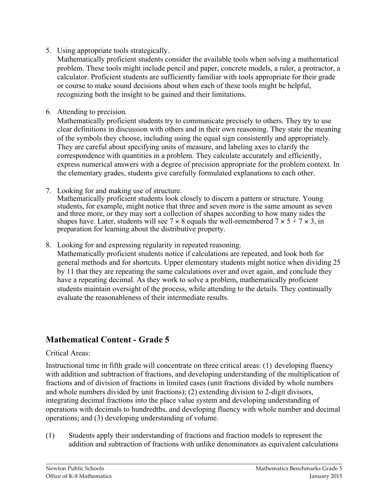- 5. Using appropriate tools strategically.
	- Mathematically proficient students consider the available tools when solving a mathematical problem. These tools might include pencil and paper, concrete models, a ruler, a protractor, a calculator. Proficient students are sufficiently familiar with tools appropriate for their grade or course to make sound decisions about when each of these tools might be helpful, recognizing both the insight to be gained and their limitations.
- 6. Attending to precision.

Mathematically proficient students try to communicate precisely to others. They try to use clear definitions in discussion with others and in their own reasoning. They state the meaning of the symbols they choose, including using the equal sign consistently and appropriately. They are careful about specifying units of measure, and labeling axes to clarify the correspondence with quantities in a problem. They calculate accurately and efficiently, express numerical answers with a degree of precision appropriate for the problem context. In the elementary grades, students give carefully formulated explanations to each other.

7. Looking for and making use of structure.

Mathematically proficient students look closely to discern a pattern or structure. Young students, for example, might notice that three and seven more is the same amount as seven and three more, or they may sort a collection of shapes according to how many sides the shapes have. Later, students will see  $7 \times 8$  equals the well-remembered  $7 \times 5 + 7 \times 3$ , in preparation for learning about the distributive property.

8. Looking for and expressing regularity in repeated reasoning.

Mathematically proficient students notice if calculations are repeated, and look both for general methods and for shortcuts. Upper elementary students might notice when dividing 25 by 11 that they are repeating the same calculations over and over again, and conclude they have a repeating decimal. As they work to solve a problem, mathematically proficient students maintain oversight of the process, while attending to the details. They continually evaluate the reasonableness of their intermediate results.

# **Mathematical Content - Grade 5**

## Critical Areas:

Instructional time in fifth grade will concentrate on three critical areas: (1) developing fluency with addition and subtraction of fractions, and developing understanding of the multiplication of fractions and of division of fractions in limited cases (unit fractions divided by whole numbers and whole numbers divided by unit fractions); (2) extending division to 2-digit divisors, integrating decimal fractions into the place value system and developing understanding of operations with decimals to hundredths, and developing fluency with whole number and decimal operations; and (3) developing understanding of volume.

(1) Students apply their understanding of fractions and fraction models to represent the addition and subtraction of fractions with unlike denominators as equivalent calculations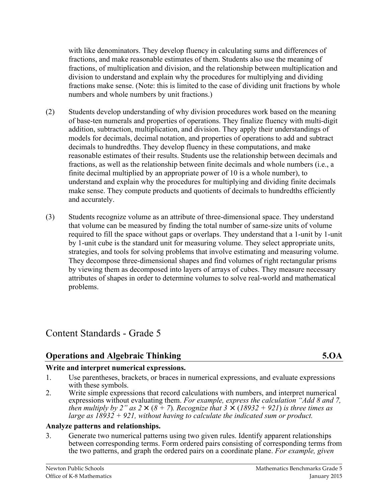with like denominators. They develop fluency in calculating sums and differences of fractions, and make reasonable estimates of them. Students also use the meaning of fractions, of multiplication and division, and the relationship between multiplication and division to understand and explain why the procedures for multiplying and dividing fractions make sense. (Note: this is limited to the case of dividing unit fractions by whole numbers and whole numbers by unit fractions.)

- (2) Students develop understanding of why division procedures work based on the meaning of base-ten numerals and properties of operations. They finalize fluency with multi-digit addition, subtraction, multiplication, and division. They apply their understandings of models for decimals, decimal notation, and properties of operations to add and subtract decimals to hundredths. They develop fluency in these computations, and make reasonable estimates of their results. Students use the relationship between decimals and fractions, as well as the relationship between finite decimals and whole numbers (i.e., a finite decimal multiplied by an appropriate power of 10 is a whole number), to understand and explain why the procedures for multiplying and dividing finite decimals make sense. They compute products and quotients of decimals to hundredths efficiently and accurately.
- (3) Students recognize volume as an attribute of three-dimensional space. They understand that volume can be measured by finding the total number of same-size units of volume required to fill the space without gaps or overlaps. They understand that a 1-unit by 1-unit by 1-unit cube is the standard unit for measuring volume. They select appropriate units, strategies, and tools for solving problems that involve estimating and measuring volume. They decompose three-dimensional shapes and find volumes of right rectangular prisms by viewing them as decomposed into layers of arrays of cubes. They measure necessary attributes of shapes in order to determine volumes to solve real-world and mathematical problems.

# Content Standards - Grade 5

# **Operations and Algebraic Thinking 5.OA**

### **Write and interpret numerical expressions.**

- 1. Use parentheses, brackets, or braces in numerical expressions, and evaluate expressions with these symbols.
- 2. Write simple expressions that record calculations with numbers, and interpret numerical expressions without evaluating them. *For example, express the calculation "Add 8 and 7, then multiply by 2" as 2*  $\times$  ( $8 + 7$ )*. Recognize that 3*  $\times$  (18932 + 921) *is three times as large as 18932 + 921, without having to calculate the indicated sum or product.*

### **Analyze patterns and relationships.**

3. Generate two numerical patterns using two given rules. Identify apparent relationships between corresponding terms. Form ordered pairs consisting of corresponding terms from the two patterns, and graph the ordered pairs on a coordinate plane. *For example, given*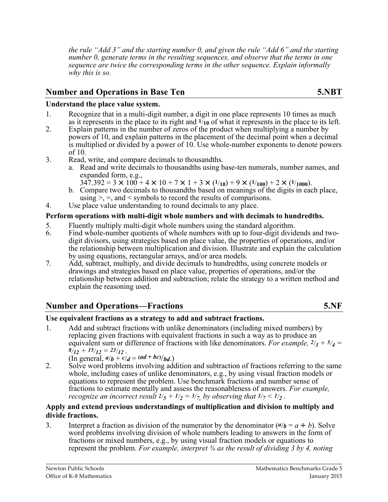*the rule "Add 3" and the starting number 0, and given the rule "Add 6" and the starting number 0, generate terms in the resulting sequences, and observe that the terms in one sequence are twice the corresponding terms in the other sequence. Explain informally why this is so.*

# **Number and Operations in Base Ten 5.NBT**

### **Understand the place value system.**

- 1. Recognize that in a multi-digit number, a digit in one place represents 10 times as much as it represents in the place to its right and  $\frac{1}{10}$  of what it represents in the place to its left.
- 2. Explain patterns in the number of zeros of the product when multiplying a number by powers of 10, and explain patterns in the placement of the decimal point when a decimal is multiplied or divided by a power of 10. Use whole-number exponents to denote powers of 10.
- 3. Read, write, and compare decimals to thousandths.
	- a. Read and write decimals to thousandths using base-ten numerals, number names, and expanded form, e.g.,

 $347.392 = 3 \times 100 + 4 \times 10 + 7 \times 1 + 3 \times (1/_{10}) + 9 \times (1/_{100}) + 2 \times (1/_{1000})$ .

- b. Compare two decimals to thousandths based on meanings of the digits in each place, using  $\ge$ ,  $\equiv$ , and  $\le$  symbols to record the results of comparisons.
- 4. Use place value understanding to round decimals to any place.

## **Perform operations with multi-digit whole numbers and with decimals to hundredths.**

- 5. Fluently multiply multi-digit whole numbers using the standard algorithm.
- 6. Find whole-number quotients of whole numbers with up to four-digit dividends and two- digit divisors, using strategies based on place value, the properties of operations, and/or the relationship between multiplication and division. Illustrate and explain the calculation by using equations, rectangular arrays, and/or area models.
- 7. Add, subtract, multiply, and divide decimals to hundredths, using concrete models or drawings and strategies based on place value, properties of operations, and/or the relationship between addition and subtraction; relate the strategy to a written method and explain the reasoning used.

# **Number and Operations—Fractions 6.NF**

## **Use equivalent fractions as a strategy to add and subtract fractions.**

1. Add and subtract fractions with unlike denominators (including mixed numbers) by replacing given fractions with equivalent fractions in such a way as to produce an equivalent sum or difference of fractions with like denominators. *For example,*  $2/3 + 5/4 =$ *8* $\sqrt{12} + \frac{15}{12} = \frac{23}{12}$ .<br>(In general,  $a/b + c/d = (ad + bc)/bd$ .)

2. Solve word problems involving addition and subtraction of fractions referring to the same whole, including cases of unlike denominators, e.g., by using visual fraction models or equations to represent the problem. Use benchmark fractions and number sense of fractions to estimate mentally and assess the reasonableness of answers. *For example,* recognize an incorrect result  $2/5 + 1/2 = 3/7$ , by observing that  $3/7 < 1/2$ .

### **Apply and extend previous understandings of multiplication and division to multiply and divide fractions.**

3. Interpret a fraction as division of the numerator by the denominator  $(a/b = a \div b)$ . Solve word problems involving division of whole numbers leading to answers in the form of fractions or mixed numbers, e.g., by using visual fraction models or equations to represent the problem. *For example, interpret ¾ as the result of dividing 3 by 4, noting*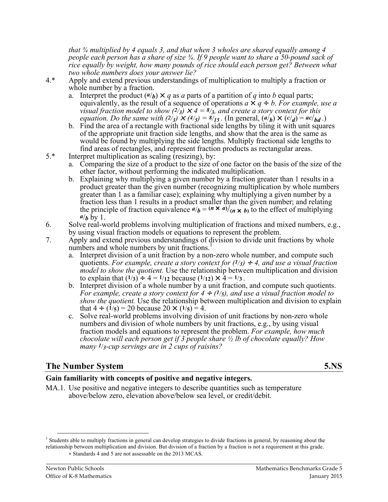*that ¾ multiplied by 4 equals 3, and that when 3 wholes are shared equally among 4 people each person has a share of size ¾. If 9 people want to share a 50-pound sack of rice equally by weight, how many pounds of rice should each person get? Between what two whole numbers does your answer lie?*

- 4.\* Apply and extend previous understandings of multiplication to multiply a fraction or whole number by a fraction.
	- a. Interpret the product  $(a/b) \times q$  as *a* parts of a partition of *q* into *b* equal parts; equivalently, as the result of a sequence of operations  $a \times q \div b$ . For example, use a *visual fraction model to show*  $(2/3) \times 4 = 8/3$ *, and create a story context for this* equation. Do the same with  $\frac{2}{3} \times \frac{4}{5} = \frac{8}{15}$ . (In general,  $\frac{a}{b} \times \frac{c}{d} = \frac{ac}{bd}$ .)
	- b. Find the area of a rectangle with fractional side lengths by tiling it with unit squares of the appropriate unit fraction side lengths, and show that the area is the same as would be found by multiplying the side lengths. Multiply fractional side lengths to find areas of rectangles, and represent fraction products as rectangular areas.
- 5.\* Interpret multiplication as scaling (resizing), by:
	- a. Comparing the size of a product to the size of one factor on the basis of the size of the other factor, without performing the indicated multiplication.
	- b. Explaining why multiplying a given number by a fraction greater than 1 results in a product greater than the given number (recognizing multiplication by whole numbers greater than 1 as a familiar case); explaining why multiplying a given number by a fraction less than 1 results in a product smaller than the given number; and relating the principle of fraction equivalence  $a/b = (n \times a)/((n \times b))$  to the effect of multiplying  $a/b$  by 1.
- 6. Solve real-world problems involving multiplication of fractions and mixed numbers, e.g., by using visual fraction models or equations to represent the problem.
- 7. Apply and extend previous understandings of division to divide unit fractions by whole numbers and whole numbers by unit fractions.<sup>1</sup>
	- a. Interpret division of a unit fraction by a non-zero whole number, and compute such quotients. *For example, create a story context for*  $(1/3) \div 4$ , and use a visual fraction *model to show the quotient.* Use the relationship between multiplication and division to explain that  $(1/3) \div 4 = 1/12$  because  $(1/12) \times 4 = 1/3$ .
	- b. Interpret division of a whole number by a unit fraction, and compute such quotients. *For example, create a story context for*  $4 \div (1/5)$ *, and use a visual fraction model to show the quotient.* Use the relationship between multiplication and division to explain that  $4 \div (1/5) = 20$  because  $20 \times (1/5) = 4$ .
	- c. Solve real-world problems involving division of unit fractions by non-zero whole numbers and division of whole numbers by unit fractions, e.g., by using visual fraction models and equations to represent the problem. *For example, how much chocolate will each person get if 3 people share ½ lb of chocolate equally? How many 1*/*3-cup servings are in 2 cups of raisins?*

# **The Number System 5.NS**

## **Gain familiarity with concepts of positive and negative integers.**

MA.1. Use positive and negative integers to describe quantities such as temperature above/below zero, elevation above/below sea level, or credit/debit.

1

<sup>&</sup>lt;sup>1</sup> Students able to multiply fractions in general can develop strategies to divide fractions in general, by reasoning about the relationship between multiplication and division. But division of a fraction by a fraction is not a requirement at this grade. ∗ Standards 4 and 5 are not assessable on the 2013 MCAS.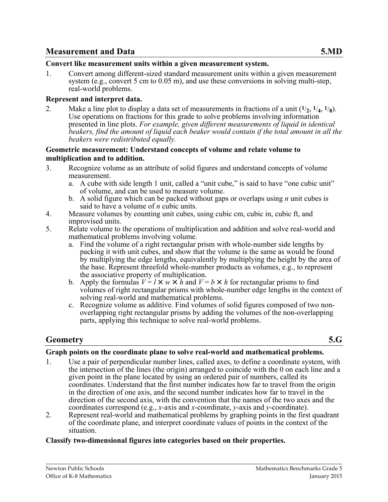## **Measurement and Data 5.MD**

### **Convert like measurement units within a given measurement system.**

1. Convert among different-sized standard measurement units within a given measurement system (e.g., convert 5 cm to 0.05 m), and use these conversions in solving multi-step, real-world problems.

### **Represent and interpret data.**

2. Make a line plot to display a data set of measurements in fractions of a unit (**1**/**2**, **1**/**4**, **1**/**8**). Use operations on fractions for this grade to solve problems involving information presented in line plots. *For example, given different measurements of liquid in identical*  beakers, find the amount of liquid each beaker would contain if the total amount in all the *beakers were redistributed equally.*

### **Geometric measurement: Understand concepts of volume and relate volume to multiplication and to addition.**

- 3. Recognize volume as an attribute of solid figures and understand concepts of volume measurement.
	- a. A cube with side length 1 unit, called a "unit cube," is said to have "one cubic unit" of volume, and can be used to measure volume.
	- b. A solid figure which can be packed without gaps or overlaps using *n* unit cubes is said to have a volume of *n* cubic units.
- 4. Measure volumes by counting unit cubes, using cubic cm, cubic in, cubic ft, and improvised units.
- 5. Relate volume to the operations of multiplication and addition and solve real-world and mathematical problems involving volume.
	- a. Find the volume of a right rectangular prism with whole-number side lengths by packing it with unit cubes, and show that the volume is the same as would be found by multiplying the edge lengths, equivalently by multiplying the height by the area of the base. Represent threefold whole-number products as volumes, e.g., to represent the associative property of multiplication.
	- b. Apply the formulas  $V = l \times w \times h$  and  $V = b \times h$  for rectangular prisms to find volumes of right rectangular prisms with whole-number edge lengths in the context of solving real-world and mathematical problems.
	- c. Recognize volume as additive. Find volumes of solid figures composed of two non- overlapping right rectangular prisms by adding the volumes of the non-overlapping parts, applying this technique to solve real-world problems.

# **Geometry 5.G**

### **Graph points on the coordinate plane to solve real-world and mathematical problems.**

- 1. Use a pair of perpendicular number lines, called axes, to define a coordinate system, with the intersection of the lines (the origin) arranged to coincide with the 0 on each line and a given point in the plane located by using an ordered pair of numbers, called its coordinates. Understand that the first number indicates how far to travel from the origin in the direction of one axis, and the second number indicates how far to travel in the direction of the second axis, with the convention that the names of the two axes and the coordinates correspond (e.g., *x*-axis and *x*-coordinate, *y*-axis and *y*-coordinate).
- 2. Represent real-world and mathematical problems by graphing points in the first quadrant of the coordinate plane, and interpret coordinate values of points in the context of the situation.

## **Classify two-dimensional figures into categories based on their properties.**